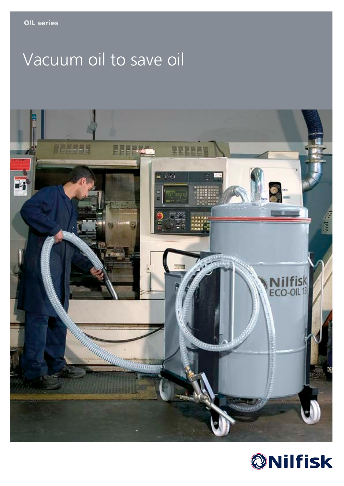# Vacuum oil to save oil



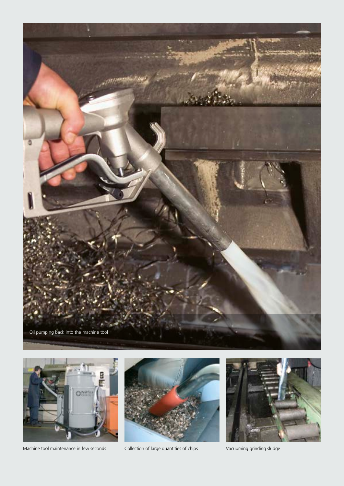



Machine tool maintenance in few seconds Collection of large quantities of chips Vacuuming grinding sludge



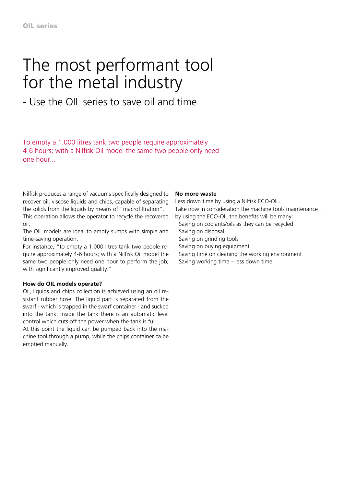## The most performant tool for the metal industry

### - Use the OIL series to save oil and time

To empty a 1.000 litres tank two people require approximately 4-6 hours; with a Nilfisk Oil model the same two people only need one hour...

Nilfisk produces a range of vacuums specifically designed to recover oil, viscose liquids and chips, capable of separating the solids from the liquids by means of "macrofiltration".

This operation allows the operator to recycle the recovered oil.

The OIL models are ideal to empty sumps with simple and time-saving operation.

For instance, "to empty a 1.000 litres tank two people require approximately 4-6 hours; with a Nilfisk Oil model the same two people only need one hour to perform the job; with significantly improved quality."

#### **How do OIL models operate?**

Oil, liquids and chips collection is achieved using an oil resistant rubber hose. The liquid part is separated from the swarf - which is trapped in the swarf container - and sucked into the tank; inside the tank there is an automatic level control which cuts off the power when the tank is full.

At this point the liquid can be pumped back into the machine tool through a pump, while the chips container ca be emptied manually.

#### **No more waste**

Less down time by using a Nilfisk ECO-OIL. Take now in consideration the machine tools maintenance , by using the ECO-OIL the benefits will be many:

- · Saving on coolants/oils as they can be recycled
- · Saving on disposal
- · Saving on grinding tools
- · Saving on buying equipment
- · Saving time on cleaning the working environment
- · Saving working time less down time